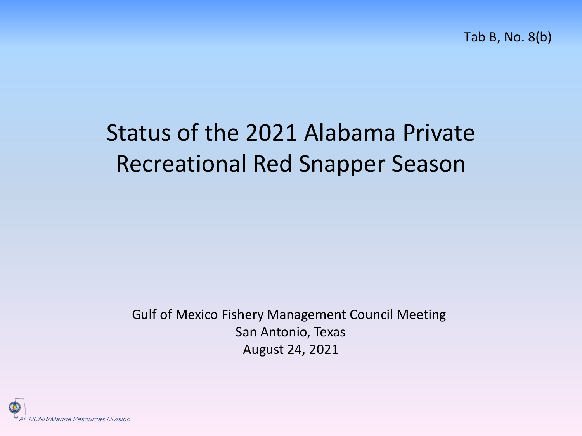Tab B, No. 8(b)

## Status of the 2021 Alabama Private Recreational Red Snapper Season

Gulf of Mexico Fishery Management Council Meeting San Antonio, Texas August 24, 2021

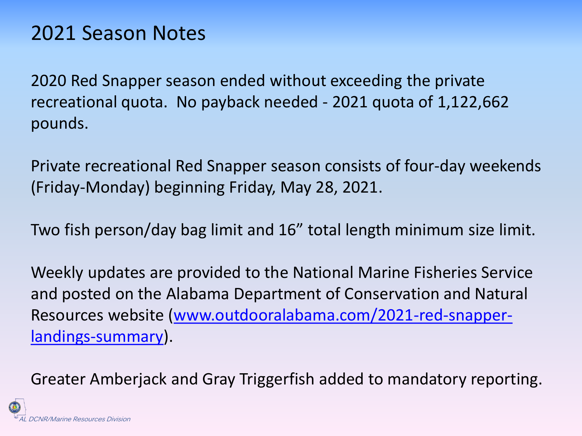### 2021 Season Notes

2020 Red Snapper season ended without exceeding the private recreational quota. No payback needed - 2021 quota of 1,122,662 pounds.

Private recreational Red Snapper season consists of four-day weekends (Friday-Monday) beginning Friday, May 28, 2021.

Two fish person/day bag limit and 16" total length minimum size limit.

Weekly updates are provided to the National Marine Fisheries Service and posted on the Alabama Department of Conservation and Natural [Resources website \(www.outdooralabama.com/2021-red-snapper](http://www.outdooralabama.com/2021-red-snapper-landings-summary)landings-summary).

Greater Amberjack and Gray Triggerfish added to mandatory reporting.

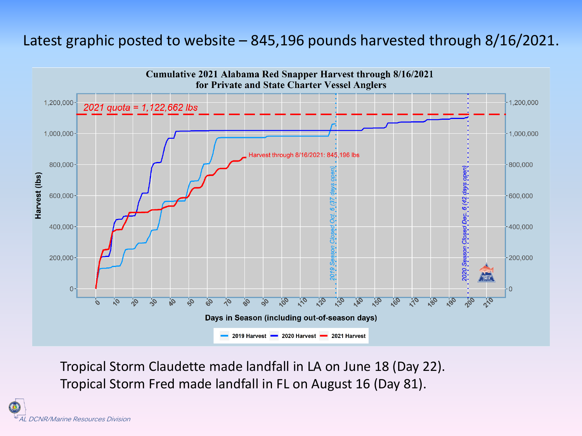#### Latest graphic posted to website – 845,196 pounds harvested through 8/16/2021.



Tropical Storm Claudette made landfall in LA on June 18 (Day 22). Tropical Storm Fred made landfall in FL on August 16 (Day 81).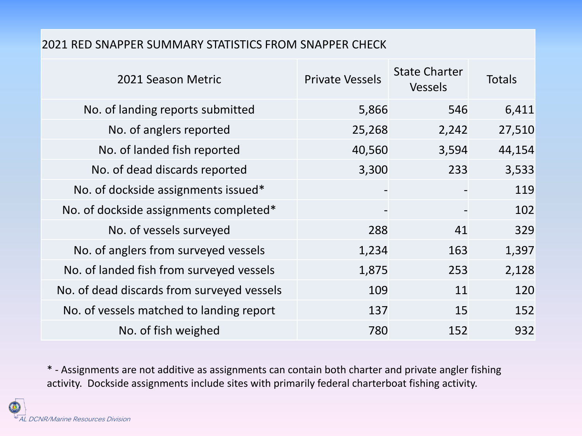#### 2021 RED SNAPPER SUMMARY STATISTICS FROM SNAPPER CHECK

| 2021 Season Metric                         | <b>Private Vessels</b> | <b>State Charter</b><br><b>Vessels</b> | Totals |
|--------------------------------------------|------------------------|----------------------------------------|--------|
| No. of landing reports submitted           | 5,866                  | 546                                    | 6,411  |
| No. of anglers reported                    | 25,268                 | 2,242                                  | 27,510 |
| No. of landed fish reported                | 40,560                 | 3,594                                  | 44,154 |
| No. of dead discards reported              | 3,300                  | 233                                    | 3,533  |
| No. of dockside assignments issued*        |                        |                                        | 119    |
| No. of dockside assignments completed*     |                        |                                        | 102    |
| No. of vessels surveyed                    | 288                    | 41                                     | 329    |
| No. of anglers from surveyed vessels       | 1,234                  | 163                                    | 1,397  |
| No. of landed fish from surveyed vessels   | 1,875                  | 253                                    | 2,128  |
| No. of dead discards from surveyed vessels | 109                    | 11                                     | 120    |
| No. of vessels matched to landing report   | 137                    | 15                                     | 152    |
| No. of fish weighed                        | 780                    | 152                                    | 932    |

\* - Assignments are not additive as assignments can contain both charter and private angler fishing activity. Dockside assignments include sites with primarily federal charterboat fishing activity.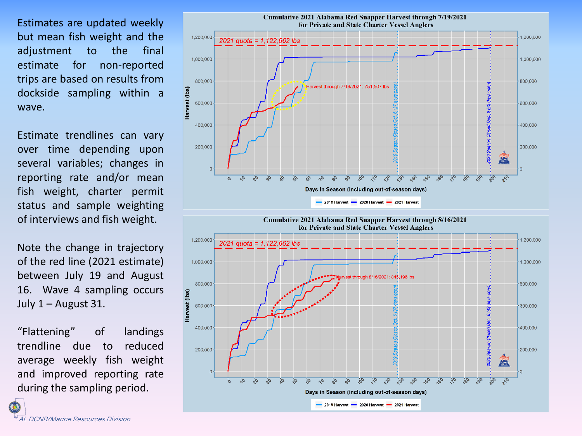Estimates are updated weekly but mean fish weight and the adjustment to the final estimate for non-reported trips are based on results from dockside sampling within a wave.

Estimate trendlines can vary over time depending upon several variables; changes in reporting rate and/or mean fish weight, charter permit status and sample weighting of interviews and fish weight.

Note the change in trajectory of the red line (2021 estimate) between July 19 and August 16. Wave 4 sampling occurs July  $1 -$  August 31.

"Flattening" of landings trendline due to reduced average weekly fish weight and improved reporting rate during the sampling period.

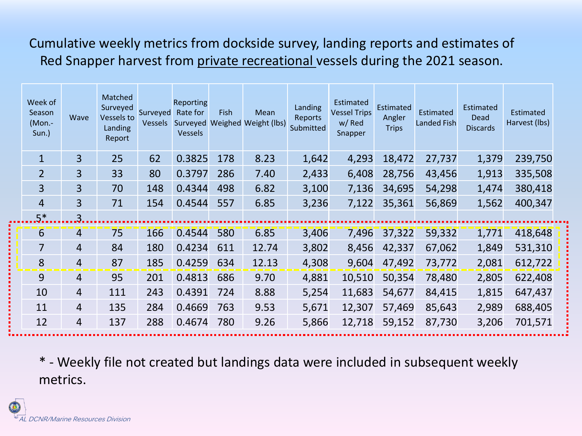Cumulative weekly metrics from dockside survey, landing reports and estimates of Red Snapper harvest from private recreational vessels during the 2021 season.

| Week of<br>Season<br>$(Mon -$<br>Sun.) | Wave           | Matched<br>Surveyed<br>Vessels to<br>Landing<br>Report | Surveyed<br>Vessels | Reporting<br>Rate for<br><b>Vessels</b> | Fish | Mean<br>Surveyed Weighed Weight (lbs) | Landing<br>Reports<br>Submitted | Estimated<br><b>Vessel Trips</b><br>w/ Red<br>Snapper | <b>Estimated</b><br>Angler<br><b>Trips</b> | Estimated<br><b>Landed Fish</b> | Estimated<br>Dead<br><b>Discards</b> | Estimated<br>Harvest (lbs) |  |
|----------------------------------------|----------------|--------------------------------------------------------|---------------------|-----------------------------------------|------|---------------------------------------|---------------------------------|-------------------------------------------------------|--------------------------------------------|---------------------------------|--------------------------------------|----------------------------|--|
| $\mathbf{1}$                           | $\overline{3}$ | 25                                                     | 62                  | 0.3825                                  | 178  | 8.23                                  | 1,642                           | 4,293                                                 | 18,472                                     | 27,737                          | 1,379                                | 239,750                    |  |
| $\overline{2}$                         | $\overline{3}$ | 33                                                     | 80                  | 0.3797                                  | 286  | 7.40                                  | 2,433                           | 6,408                                                 | 28,756                                     | 43,456                          | 1,913                                | 335,508                    |  |
| 3                                      | $\overline{3}$ | 70                                                     | 148                 | 0.4344                                  | 498  | 6.82                                  | 3,100                           | 7,136                                                 | 34,695                                     | 54,298                          | 1,474                                | 380,418                    |  |
| $\overline{4}$                         | 3              | 71                                                     | 154                 | 0.4544                                  | 557  | 6.85                                  | 3,236                           | 7,122                                                 | 35,361                                     | 56,869                          | 1,562                                | 400,347                    |  |
| $.5^{*}.$                              | 3.             |                                                        |                     |                                         |      |                                       |                                 |                                                       |                                            |                                 |                                      |                            |  |
| $6\overline{6}$                        | 4              | 75                                                     | 166                 | 0.4544                                  | 580  | 6.85                                  | 3,406                           | 7,496                                                 | 37,322                                     | 59,332                          | 1,771                                | 418,648                    |  |
| 7                                      | $\overline{4}$ | 84                                                     | 180                 | 0.4234                                  | 611  | 12.74                                 | 3,802                           | 8,456                                                 | 42,337                                     | 67,062                          | 1,849                                | 531,310                    |  |
| 8                                      | 4              | 87                                                     | 185                 | 0.4259                                  | 634  | 12.13                                 | 4,308                           | 9,604                                                 | 47,492                                     | 73,772                          | 2,081                                | 612,722                    |  |
| 9                                      | $\overline{4}$ | 95                                                     | 201                 | 0.4813                                  | 686  | 9.70                                  | 4,881                           | 10,510                                                | 50,354                                     | 78,480                          | 2,805                                | 622,408                    |  |
| 10                                     | $\overline{4}$ | 111                                                    | 243                 | 0.4391                                  | 724  | 8.88                                  | 5,254                           | 11,683                                                | 54,677                                     | 84,415                          | 1,815                                | 647,437                    |  |
| 11                                     | $\overline{4}$ | 135                                                    | 284                 | 0.4669                                  | 763  | 9.53                                  | 5,671                           | 12,307                                                | 57,469                                     | 85,643                          | 2,989                                | 688,405                    |  |
| 12                                     | 4              | 137                                                    | 288                 | 0.4674                                  | 780  | 9.26                                  | 5,866                           | 12,718                                                | 59,152                                     | 87,730                          | 3,206                                | 701,571                    |  |

\* - Weekly file not created but landings data were included in subsequent weekly metrics.